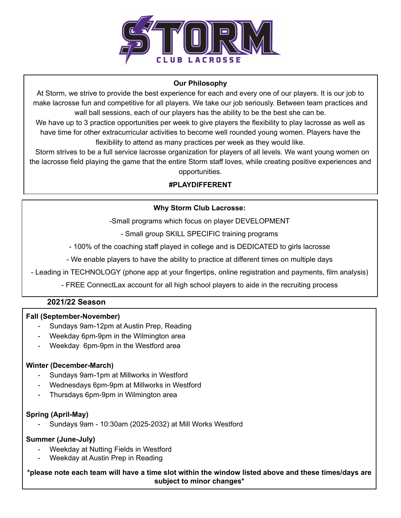

## **Our Philosophy**

At Storm, we strive to provide the best experience for each and every one of our players. It is our job to make lacrosse fun and competitive for all players. We take our job seriously. Between team practices and wall ball sessions, each of our players has the ability to be the best she can be.

We have up to 3 practice opportunities per week to give players the flexibility to play lacrosse as well as have time for other extracurricular activities to become well rounded young women. Players have the flexibility to attend as many practices per week as they would like.

Storm strives to be a full service lacrosse organization for players of all levels. We want young women on the lacrosse field playing the game that the entire Storm staff loves, while creating positive experiences and opportunities.

# **#PLAYDIFFERENT**

## **Why Storm Club Lacrosse:**

-Small programs which focus on player DEVELOPMENT

- Small group SKILL SPECIFIC training programs

- 100% of the coaching staff played in college and is DEDICATED to girls lacrosse

- We enable players to have the ability to practice at different times on multiple days

- Leading in TECHNOLOGY (phone app at your fingertips, online registration and payments, film analysis)

- FREE ConnectLax account for all high school players to aide in the recruiting process

# **2021/22 Season**

## **Fall (September-November)**

- Sundays 9am-12pm at Austin Prep, Reading
- Weekday 6pm-9pm in the Wilmington area
- Weekday 6pm-9pm in the Westford area

## **Winter (December-March)**

- Sundays 9am-1pm at Millworks in Westford
- Wednesdays 6pm-9pm at Millworks in Westford
- Thursdays 6pm-9pm in Wilmington area

## **Spring (April-May)**

- Sundays 9am - 10:30am (2025-2032) at Mill Works Westford

## **Summer (June-July)**

- Weekday at Nutting Fields in Westford
- Weekday at Austin Prep in Reading

\*please note each team will have a time slot within the window listed above and these times/days are **subject to minor changes\***